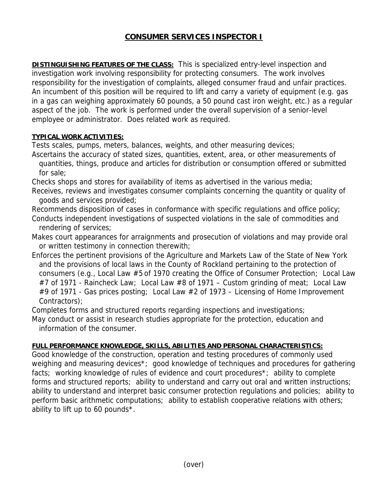## **CONSUMER SERVICES INSPECTOR I**

**DISTINGUISHING FEATURES OF THE CLASS:** This is specialized entry-level inspection and investigation work involving responsibility for protecting consumers. The work involves responsibility for the investigation of complaints, alleged consumer fraud and unfair practices. An incumbent of this position will be required to lift and carry a variety of equipment (e.g. gas in a gas can weighing approximately 60 pounds, a 50 pound cast iron weight, etc.) as a regular aspect of the job. The work is performed under the overall supervision of a senior-level employee or administrator. Does related work as required.

## **TYPICAL WORK ACTIVITIES:**

Tests scales, pumps, meters, balances, weights, and other measuring devices;

Ascertains the accuracy of stated sizes, quantities, extent, area, or other measurements of quantities, things, produce and articles for distribution or consumption offered or submitted for sale;

Checks shops and stores for availability of items as advertised in the various media;

Receives, reviews and investigates consumer complaints concerning the quantity or quality of goods and services provided;

Recommends disposition of cases in conformance with specific regulations and office policy; Conducts independent investigations of suspected violations in the sale of commodities and rendering of services;

- Makes court appearances for arraignments and prosecution of violations and may provide oral or written testimony in connection therewith;
- Enforces the pertinent provisions of the Agriculture and Markets Law of the State of New York and the provisions of local laws in the County of Rockland pertaining to the protection of consumers (e.g., Local Law #5 of 1970 creating the Office of Consumer Protection; Local Law #7 of 1971 - Raincheck Law; Local Law #8 of 1971 – Custom grinding of meat; Local Law #9 of 1971 - Gas prices posting; Local Law #2 of 1973 – Licensing of Home Improvement Contractors);

Completes forms and structured reports regarding inspections and investigations;

May conduct or assist in research studies appropriate for the protection, education and information of the consumer.

## **FULL PERFORMANCE KNOWLEDGE, SKILLS, ABILITIES AND PERSONAL CHARACTERISTICS:**

Good knowledge of the construction, operation and testing procedures of commonly used weighing and measuring devices\*; good knowledge of techniques and procedures for gathering facts; working knowledge of rules of evidence and court procedures<sup>\*</sup>; ability to complete forms and structured reports; ability to understand and carry out oral and written instructions; ability to understand and interpret basic consumer protection regulations and policies; ability to perform basic arithmetic computations; ability to establish cooperative relations with others; ability to lift up to 60 pounds\*.